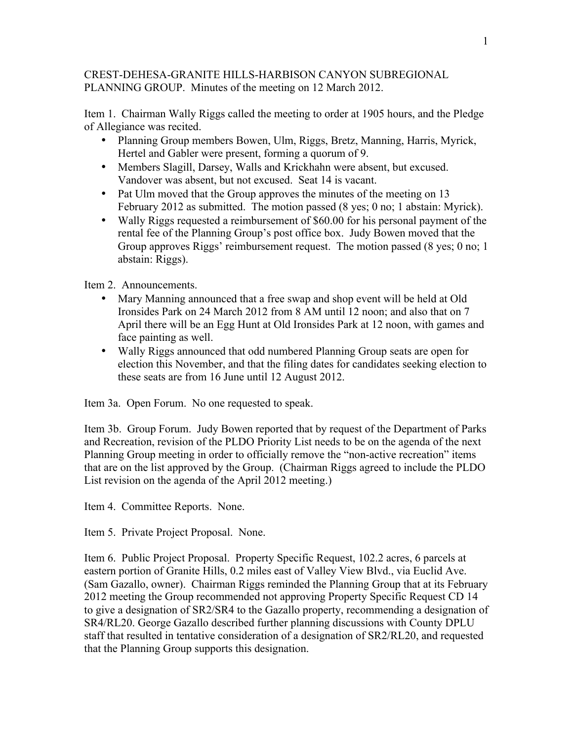## CREST-DEHESA-GRANITE HILLS-HARBISON CANYON SUBREGIONAL PLANNING GROUP. Minutes of the meeting on 12 March 2012.

Item 1. Chairman Wally Riggs called the meeting to order at 1905 hours, and the Pledge of Allegiance was recited.

- Planning Group members Bowen, Ulm, Riggs, Bretz, Manning, Harris, Myrick, Hertel and Gabler were present, forming a quorum of 9.
- Members Slagill, Darsey, Walls and Krickhahn were absent, but excused. Vandover was absent, but not excused. Seat 14 is vacant.
- Pat Ulm moved that the Group approves the minutes of the meeting on 13 February 2012 as submitted. The motion passed (8 yes; 0 no; 1 abstain: Myrick).
- Wally Riggs requested a reimbursement of \$60.00 for his personal payment of the rental fee of the Planning Group's post office box. Judy Bowen moved that the Group approves Riggs' reimbursement request. The motion passed (8 yes; 0 no; 1 abstain: Riggs).

Item 2. Announcements.

- Mary Manning announced that a free swap and shop event will be held at Old Ironsides Park on 24 March 2012 from 8 AM until 12 noon; and also that on 7 April there will be an Egg Hunt at Old Ironsides Park at 12 noon, with games and face painting as well.
- Wally Riggs announced that odd numbered Planning Group seats are open for election this November, and that the filing dates for candidates seeking election to these seats are from 16 June until 12 August 2012.

Item 3a. Open Forum. No one requested to speak.

Item 3b. Group Forum. Judy Bowen reported that by request of the Department of Parks and Recreation, revision of the PLDO Priority List needs to be on the agenda of the next Planning Group meeting in order to officially remove the "non-active recreation" items that are on the list approved by the Group. (Chairman Riggs agreed to include the PLDO List revision on the agenda of the April 2012 meeting.)

Item 4. Committee Reports. None.

Item 5. Private Project Proposal. None.

Item 6. Public Project Proposal. Property Specific Request, 102.2 acres, 6 parcels at eastern portion of Granite Hills, 0.2 miles east of Valley View Blvd., via Euclid Ave. (Sam Gazallo, owner). Chairman Riggs reminded the Planning Group that at its February 2012 meeting the Group recommended not approving Property Specific Request CD 14 to give a designation of SR2/SR4 to the Gazallo property, recommending a designation of SR4/RL20. George Gazallo described further planning discussions with County DPLU staff that resulted in tentative consideration of a designation of SR2/RL20, and requested that the Planning Group supports this designation.